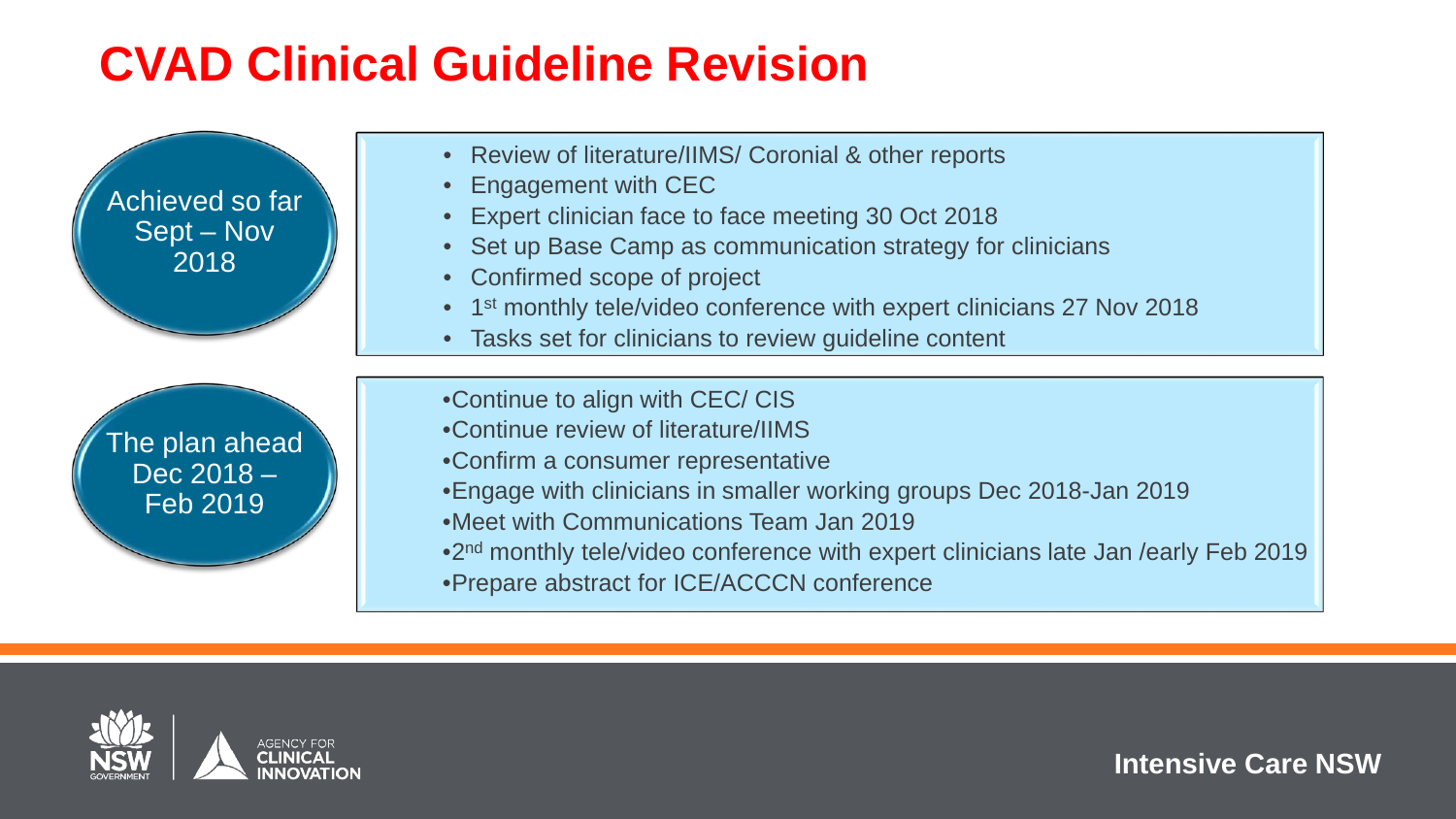## **CVAD Clinical Guideline Revision**



- Review of literature/IIMS/ Coronial & other reports
- Engagement with CEC
- Expert clinician face to face meeting 30 Oct 2018
- Set up Base Camp as communication strategy for clinicians
- Confirmed scope of project
- 1<sup>st</sup> monthly tele/video conference with expert clinicians 27 Nov 2018
- Tasks set for clinicians to review guideline content

The plan ahead Dec 2018 – Feb 2019

- •Continue to align with CEC/ CIS
- •Continue review of literature/IIMS
- •Confirm a consumer representative
- •Engage with clinicians in smaller working groups Dec 2018-Jan 2019
- •Meet with Communications Team Jan 2019
- •2nd monthly tele/video conference with expert clinicians late Jan /early Feb 2019
- •Prepare abstract for ICE/ACCCN conference



**Intensive Care NSW**